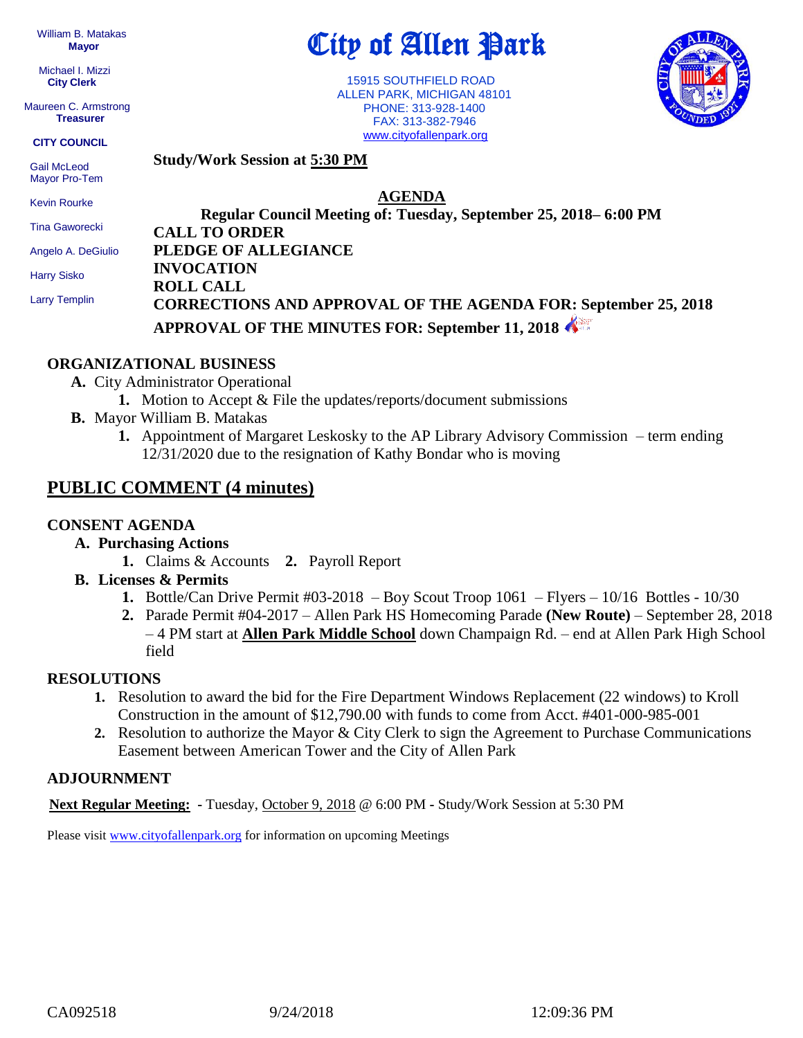William B. Matakas  **Mayor**

 Michael I. Mizzi **City Clerk**

Maureen C. Armstrong **Treasurer**

#### **CITY COUNCIL**

 Gail McLeod Mayor Pro-Tem

Kevin Rourke

Tina Gaworecki

Angelo A. DeGiulio

Harry Sisko

Larry Templin

# City of Allen Park

 15915 SOUTHFIELD ROAD ALLEN PARK, MICHIGAN 48101 PHONE: 313-928-1400 FAX: 313-382-7946 [www.cityofallenpark.org](http://www.cityofallenpark.org/)



**Study/Work Session at 5:30 PM**

**AGENDA**

**Regular Council Meeting of: Tuesday, September 25, 2018– 6:00 PM CALL TO ORDER PLEDGE OF ALLEGIANCE INVOCATION ROLL CALL CORRECTIONS AND APPROVAL OF THE AGENDA FOR: September 25, 2018 APPROVAL OF THE MINUTES FOR: September 11, 2018** 

#### **ORGANIZATIONAL BUSINESS**

**A.** City Administrator Operational

- **1.** Motion to Accept & File the updates/reports/document submissions
- **B.** Mayor William B. Matakas
	- **1.** Appointment of Margaret Leskosky to the AP Library Advisory Commission term ending 12/31/2020 due to the resignation of Kathy Bondar who is moving

## **PUBLIC COMMENT (4 minutes)**

#### **CONSENT AGENDA**

### **A. Purchasing Actions**

- **1.** Claims & Accounts **2.** Payroll Report
- **B. Licenses & Permits**
	- **1.** Bottle/Can Drive Permit #03-2018 Boy Scout Troop 1061 Flyers 10/16 Bottles 10/30
	- **2.** Parade Permit #04-2017 Allen Park HS Homecoming Parade **(New Route)** September 28, 2018 – 4 PM start at **Allen Park Middle School** down Champaign Rd. – end at Allen Park High School field

### **RESOLUTIONS**

- **1.** Resolution to award the bid for the Fire Department Windows Replacement (22 windows) to Kroll Construction in the amount of \$12,790.00 with funds to come from Acct. #401-000-985-001
- **2.** Resolution to authorize the Mayor & City Clerk to sign the Agreement to Purchase Communications Easement between American Tower and the City of Allen Park

### **ADJOURNMENT**

**Next Regular Meeting: -** Tuesday, October 9, 2018 @ 6:00 PM **-** Study/Work Session at 5:30 PM

Please visit [www.cityofallenpark.org](http://www.cityofallenpark.org/) for information on upcoming Meetings